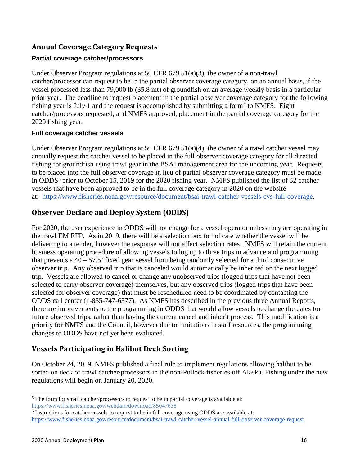# **Annual Coverage Category Requests**

#### **Partial coverage catcher/processors**

Under Observer Program regulations at 50 CFR 679.51(a)(3), the owner of a non-trawl catcher/processor can request to be in the partial observer coverage category, on an annual basis, if the vessel processed less than 79,000 lb (35.8 mt) of groundfish on an average weekly basis in a particular prior year. The deadline to request placement in the partial observer coverage category for the following fishing year is July 1 and the request is accomplished by submitting a form<sup>[5](#page-15-0)</sup> to NMFS. Eight catcher/processors requested, and NMFS approved, placement in the partial coverage category for the 2020 fishing year.

#### **Full coverage catcher vessels**

Under Observer Program regulations at 50 CFR 679.51(a)(4), the owner of a trawl catcher vessel may annually request the catcher vessel to be placed in the full observer coverage category for all directed fishing for groundfish using trawl gear in the BSAI management area for the upcoming year. Requests to be placed into the full observer coverage in lieu of partial observer coverage category must be made in ODDS<sup>[6](#page-15-1)</sup> prior to October 15, 2019 for the 2020 fishing year. NMFS published the list of 32 catcher vessels that have been approved to be in the full coverage category in 2020 on the website at: [https://www.fisheries.noaa.gov/resource/document/bsai-trawl-catcher-vessels-cvs-full-coverage.](https://www.fisheries.noaa.gov/resource/document/bsai-trawl-catcher-vessels-cvs-full-coverage)

## **Observer Declare and Deploy System (ODDS)**

For 2020, the user experience in ODDS will not change for a vessel operator unless they are operating in the trawl EM EFP. As in 2019, there will be a selection box to indicate whether the vessel will be delivering to a tender, however the response will not affect selection rates. NMFS will retain the current business operating procedure of allowing vessels to log up to three trips in advance and programming that prevents a 40 – 57.5' fixed gear vessel from being randomly selected for a third consecutive observer trip. Any observed trip that is canceled would automatically be inherited on the next logged trip. Vessels are allowed to cancel or change any unobserved trips (logged trips that have not been selected to carry observer coverage) themselves, but any observed trips (logged trips that have been selected for observer coverage) that must be rescheduled need to be coordinated by contacting the ODDS call center (1-855-747-6377). As NMFS has described in the previous three Annual Reports, there are improvements to the programming in ODDS that would allow vessels to change the dates for future observed trips, rather than having the current cancel and inherit process. This modification is a priority for NMFS and the Council, however due to limitations in staff resources, the programming changes to ODDS have not yet been evaluated.

### **Vessels Participating in Halibut Deck Sorting**

On October 24, 2019, NMFS published a final rule to implement regulations allowing halibut to be sorted on deck of trawl catcher/processors in the non-Pollock fisheries off Alaska. Fishing under the new regulations will begin on January 20, 2020.

 $\overline{a}$ 

<span id="page-15-0"></span><sup>&</sup>lt;sup>5</sup> The form for small catcher/processors to request to be in partial coverage is available at:

<span id="page-15-1"></span>https://www.fisheries.noaa.gov/webdam/download/85047638<br><sup>6</sup> Instructions for catcher vessels to request to be in full coverage using ODDS are available at: https://www.fisheries.noaa.gov/resource/document/bsai-trawl-catcher-vessel-annual-full-observer-coverage-request